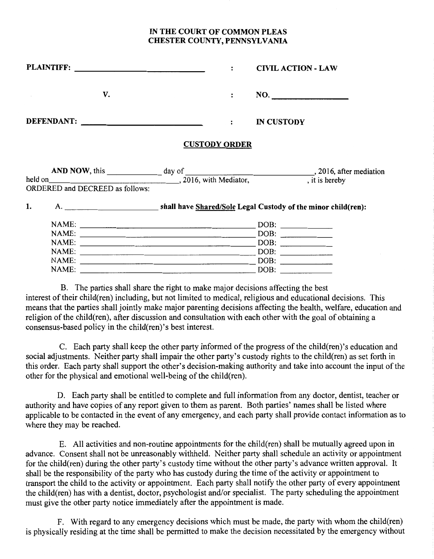## IN **THE COURT OF COMMON PLEAS CHESTER COUNTY, PENNSYLVANIA**

|    |                                                                              |                      | $\ddot{\cdot}$ | <b>CIVIL ACTION - LAW</b> |                |
|----|------------------------------------------------------------------------------|----------------------|----------------|---------------------------|----------------|
|    | V.                                                                           |                      | $\mathbf{r}$   | NO.                       |                |
|    |                                                                              |                      | $\ddot{\cdot}$ | <b>IN CUSTODY</b>         |                |
|    |                                                                              | <b>CUSTODY ORDER</b> |                |                           |                |
|    | held on<br>1. 2016, with Mediator,<br><b>ORDERED and DECREED as follows:</b> |                      |                |                           | , it is hereby |
| 1. |                                                                              |                      |                |                           |                |
|    |                                                                              |                      |                |                           |                |
|    |                                                                              |                      |                | DOB:                      |                |
|    |                                                                              |                      |                |                           |                |
|    |                                                                              |                      |                |                           |                |
|    |                                                                              |                      |                |                           |                |
|    |                                                                              |                      |                |                           |                |

B. The parties shall share the right to make major decisions affecting the best interest of their child(ren) including, but not limited to medical, religious and educational decisions. This means that the parties shall jointly make major parenting decisions affecting the health, welfare, education and religion of the child(ren), after discussion and consultation with each other with the goal of obtaining a consensus-based policy in the child(ren)'s best interest.

C. Each party shall keep the other party informed of the progress of the child(ren)'s education and social adjustments. Neither party shall impair the other party's custody rights to the child(ren) as set forth in this order. Each party shall support the other's decision-making authority and take into account the input of the other for the physical and emotional well-being of the child(ren).

D. Each party shall be entitled to complete and full information from any doctor, dentist, teacher or authority and have copies of any report given to them as parent. Both parties' names shall be listed where applicable to be contacted in the event of any emergency, and each party shall provide contact information as to where they may be reached.

E. All activities and non-routine appointments for the child(ren) shall be mutually agreed upon in advance. Consent shall not be unreasonably withheld. Neither party shall schedule an activity or appointment for the child(ren) during the other party's custody time without the other party's advance written approval. It shall be the responsibility of the party who has custody during the time of the activity or appointment to transport the child to the activity or appointment. Each party shall notify the other party of every appointment the child(ren) has with a dentist, doctor, psychologist and/or specialist. The party scheduling the appointment must give the other party notice immediately after the appointment is made.

F. With regard to any emergency decisions which must be made, the party with whom the child(ren) is physically residing at the time shall be permitted to make the decision necessitated by the emergency without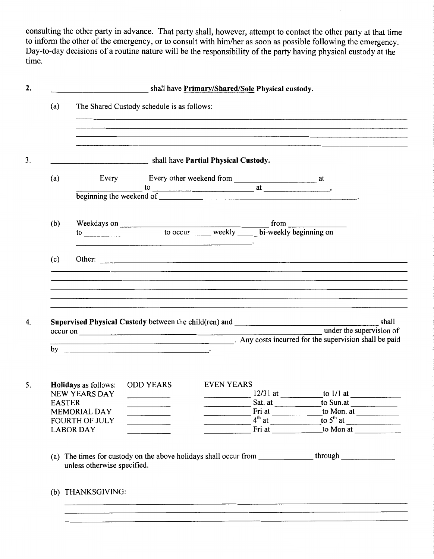consulting the other party in advance. That party shall, however, attempt to contact the other party at that time to inform the other of the emergency, or to consult with him/her as soon as possible following the emergency. Day-to-day decisions of a routine nature will be the responsibility of the party having physical custody at the time.

| (a)           | The Shared Custody schedule is as follows:<br><u> 1980 - Jan Start Barbara, Amerikaansk politiker († 1980)</u><br>and the second control of the second control of the second control of the second control of the second control of the second control of the second control of the second control of the second control of the second control o                                                                                                                                                                                                                                              |                                                                                                                                                                                                                                                                                                                                                                                                                                                                                |                                                                     |  |                                                                                                                                                                                                                                                                                                                                                                                                                                                                            |  |
|---------------|-----------------------------------------------------------------------------------------------------------------------------------------------------------------------------------------------------------------------------------------------------------------------------------------------------------------------------------------------------------------------------------------------------------------------------------------------------------------------------------------------------------------------------------------------------------------------------------------------|--------------------------------------------------------------------------------------------------------------------------------------------------------------------------------------------------------------------------------------------------------------------------------------------------------------------------------------------------------------------------------------------------------------------------------------------------------------------------------|---------------------------------------------------------------------|--|----------------------------------------------------------------------------------------------------------------------------------------------------------------------------------------------------------------------------------------------------------------------------------------------------------------------------------------------------------------------------------------------------------------------------------------------------------------------------|--|
|               | shall have Partial Physical Custody.                                                                                                                                                                                                                                                                                                                                                                                                                                                                                                                                                          |                                                                                                                                                                                                                                                                                                                                                                                                                                                                                |                                                                     |  |                                                                                                                                                                                                                                                                                                                                                                                                                                                                            |  |
| (a)           | $\frac{1}{\text{beginning the weekend of } + \text{frac of } + \text{frac of } + \text{frac of } + \text{frac of } + \text{frac of } + \text{frac of } + \text{frac of } + \text{frac of } + \text{frac of } + \text{frac of } + \text{frac of } + \text{frac of } + \text{frac of } + \text{frac of } + \text{frac of } + \text{frac of } + \text{frac of } + \text{frac of } + \text{frac of } + \text{frac of } + \text{frac of } + \text{frac of } + \text{frac of } + \text{frac of } + \text{frac of } + \text{frac of } + \text{frac of } + \text{frac of } + \text{frac of } + \text$ |                                                                                                                                                                                                                                                                                                                                                                                                                                                                                |                                                                     |  |                                                                                                                                                                                                                                                                                                                                                                                                                                                                            |  |
| (b)           |                                                                                                                                                                                                                                                                                                                                                                                                                                                                                                                                                                                               | <u> 1989 - Johann Stein, Amerikaansk politiker (* 1908)</u>                                                                                                                                                                                                                                                                                                                                                                                                                    |                                                                     |  |                                                                                                                                                                                                                                                                                                                                                                                                                                                                            |  |
| (c)           |                                                                                                                                                                                                                                                                                                                                                                                                                                                                                                                                                                                               |                                                                                                                                                                                                                                                                                                                                                                                                                                                                                |                                                                     |  |                                                                                                                                                                                                                                                                                                                                                                                                                                                                            |  |
|               |                                                                                                                                                                                                                                                                                                                                                                                                                                                                                                                                                                                               |                                                                                                                                                                                                                                                                                                                                                                                                                                                                                |                                                                     |  | <u> 1988 - Andrea Sammen, amerikansk politiker (d. 1989)</u>                                                                                                                                                                                                                                                                                                                                                                                                               |  |
|               |                                                                                                                                                                                                                                                                                                                                                                                                                                                                                                                                                                                               |                                                                                                                                                                                                                                                                                                                                                                                                                                                                                |                                                                     |  |                                                                                                                                                                                                                                                                                                                                                                                                                                                                            |  |
|               | by $\overline{\phantom{a}}$                                                                                                                                                                                                                                                                                                                                                                                                                                                                                                                                                                   |                                                                                                                                                                                                                                                                                                                                                                                                                                                                                |                                                                     |  |                                                                                                                                                                                                                                                                                                                                                                                                                                                                            |  |
| <b>EASTER</b> | <b>Holidays</b> as follows:<br>NEW YEARS DAY<br>MEMORIAL DAY                                                                                                                                                                                                                                                                                                                                                                                                                                                                                                                                  | <b>ODD YEARS EVEN YEARS</b><br>$\overline{\phantom{a}}$ and $\overline{\phantom{a}}$ and $\overline{\phantom{a}}$ and $\overline{\phantom{a}}$ and $\overline{\phantom{a}}$ and $\overline{\phantom{a}}$ and $\overline{\phantom{a}}$ and $\overline{\phantom{a}}$ and $\overline{\phantom{a}}$ and $\overline{\phantom{a}}$ and $\overline{\phantom{a}}$ and $\overline{\phantom{a}}$ and $\overline{\phantom{a}}$ and $\overline{\phantom{a}}$ a<br>$\overline{\phantom{a}}$ | $\overline{\phantom{a}}$ . The contract of $\overline{\phantom{a}}$ |  | Sat. at <u>the same state of</u> to Sun. at <u>the same state of the same state of the same state of the same state of the same state of the same state of the same state of the same state of the same state of the same state of th</u>                                                                                                                                                                                                                                  |  |
|               | <b>FOURTH OF JULY</b><br><b>LABOR DAY</b>                                                                                                                                                                                                                                                                                                                                                                                                                                                                                                                                                     | $\overline{\phantom{a}}$                                                                                                                                                                                                                                                                                                                                                                                                                                                       | $\overline{\phantom{a}}$                                            |  | Fri at $\overline{4^{th}}$ at $\underbrace{\overbrace{4^{th}}$ at $\underbrace{\overbrace{4^{th}}$ at $\underbrace{\overbrace{4^{th}}$ at $\underbrace{\overbrace{4^{th}}$ at $\underbrace{\overbrace{4^{th}}$ at $\underbrace{\overbrace{4^{th}}$ at $\underbrace{\overbrace{4^{th}}$ at $\underbrace{\overbrace{4^{th}}$ at $\underbrace{\overbrace{4^{th}}$ at $\underbrace{\overbrace{4^{th}}$ at $\underbrace{\overbrace{4^{th}}$ at $\underbrace{\overbrace{4^{th}}$ |  |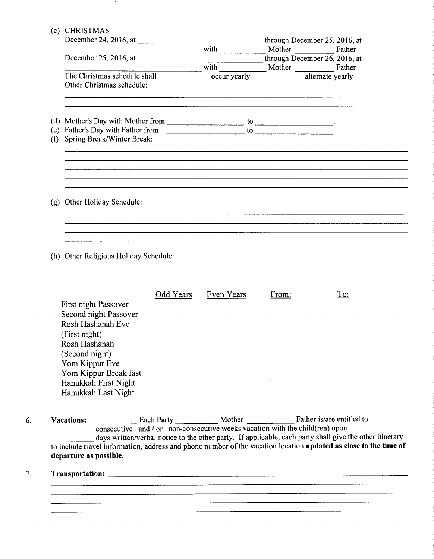$\langle$ 

| (c) CHRISTMAS                         |  |                               |                                                                                                              |  |  |  |  |  |
|---------------------------------------|--|-------------------------------|--------------------------------------------------------------------------------------------------------------|--|--|--|--|--|
|                                       |  | through December 25, 2016, at |                                                                                                              |  |  |  |  |  |
|                                       |  |                               |                                                                                                              |  |  |  |  |  |
|                                       |  |                               |                                                                                                              |  |  |  |  |  |
|                                       |  |                               |                                                                                                              |  |  |  |  |  |
|                                       |  |                               |                                                                                                              |  |  |  |  |  |
| Other Christmas schedule:             |  |                               |                                                                                                              |  |  |  |  |  |
|                                       |  |                               |                                                                                                              |  |  |  |  |  |
|                                       |  |                               |                                                                                                              |  |  |  |  |  |
| Spring Break/Winter Break:<br>(f)     |  |                               |                                                                                                              |  |  |  |  |  |
|                                       |  |                               |                                                                                                              |  |  |  |  |  |
|                                       |  |                               |                                                                                                              |  |  |  |  |  |
| (g) Other Holiday Schedule:           |  |                               |                                                                                                              |  |  |  |  |  |
|                                       |  |                               |                                                                                                              |  |  |  |  |  |
|                                       |  |                               |                                                                                                              |  |  |  |  |  |
| (h) Other Religious Holiday Schedule: |  |                               |                                                                                                              |  |  |  |  |  |
|                                       |  |                               | December 24, 2016, at $w = \frac{1}{2}$ with $w = \frac{1}{2}$<br>Mother Father<br>with Mother Mother Father |  |  |  |  |  |

|                       | Odd Years | Even Years | From: | To: |
|-----------------------|-----------|------------|-------|-----|
| First night Passover  |           |            |       |     |
| Second night Passover |           |            |       |     |
| Rosh Hashanah Eve     |           |            |       |     |
| (First night)         |           |            |       |     |
| Rosh Hashanah         |           |            |       |     |
| (Second night)        |           |            |       |     |
| Yom Kippur Eve        |           |            |       |     |
| Yom Kippur Break fast |           |            |       |     |
| Hanukkah First Night  |           |            |       |     |
| Hanukkah Last Night   |           |            |       |     |
|                       |           |            |       |     |

# **Each Party Mother Tather is/are entitled to Each Party Consecutive weeks vacation with the child(ren) upon**<br>Consecutive and / or non-consecutive weeks vacation with the child(ren) upon days written/verbal notice to the other party. If applicable, each party shall give the other itinerary to include travel information, address and phone number of the vacation location **updated as close to the time of departure as possible.**

#### 7. **Transportation:**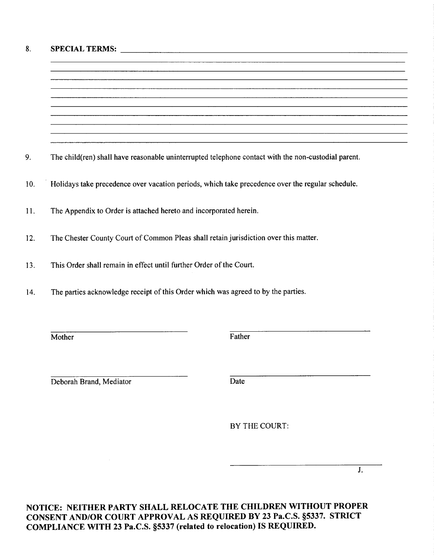### 8. **SPECIALTERMS:** -----------------------------------------------------

9. The child(ren) shall have reasonable uninterrupted telephone contact with the non-custodial parent.

I 0. · Holidays take precedence over vacation periods, which take precedence over the regular schedule.

- 11. The Appendix to Order is attached hereto and incorporated herein.
- 12. The Chester County Court of Common Pleas shall retain jurisdiction over this matter.
- 13. This Order shall remain in effect until further Order of the Court.
- 14. The parties acknowledge receipt of this Order which was agreed to by the parties.

Mother Father

Deborah Brand, Mediator Date

BY THE COURT:

J.

**NOTICE: NEITHER PARTY SHALL RELOCATE THE CHILDREN WITHOUT PROPER CONSENT AND/OR COURT APPROVAL AS REQUIRED BY 23 Pa.C.S. §5337. STRICT COMPLIANCE WITH 23 Pa.C.S. §5337 (related to relocation) IS REQUIRED.**